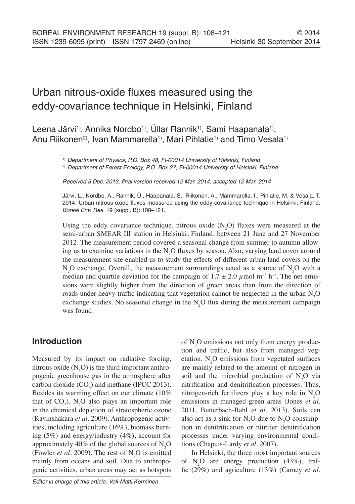# Urban nitrous-oxide fluxes measured using the eddy-covariance technique in Helsinki, Finland

# Leena Järvi<sup>1)</sup>, Annika Nordbo<sup>1)</sup>, Üllar Rannik<sup>1)</sup>, Sami Haapanala<sup>1</sup>), Anu Riikonen<sup>2</sup>, Ivan Mammarella<sup>1</sup>, Mari Pihlatie<sup>1)</sup> and Timo Vesala<sup>1)</sup>

1) *Department of Physics, P.O. Box 48, FI-00014 University of Helsinki, Finland*

2) *Department of Forest Ecology, P.O. Box 27, FI-00014 University of Helsinki, Finland*

Received 5 Dec. 2013, final version received 12 Mar. 2014, accepted 12 Mar. 2014

Järvi, L., Nordbo, A., Rannik, Ü., Haapanala, S., Riikonen, A., Mammarella, I., Pihlatie, M. & Vesala, T. 2014: Urban nitrous-oxide fluxes measured using the eddy-covariance technique in Helsinki, Finland. *Boreal Env. Res.* 19 (suppl. B): 108–121.

Using the eddy covariance technique, nitrous oxide  $(N_2O)$  fluxes were measured at the semi-urban SMEAR III station in Helsinki, Finland, between 21 June and 27 November 2012. The measurement period covered a seasonal change from summer to autumn allowing us to examine variations in the  $N_2O$  fluxes by season. Also, varying land cover around the measurement site enabled us to study the effects of different urban land covers on the  $N_2O$  exchange. Overall, the measurement surroundings acted as a source of  $N_2O$  with a median and quartile deviation for the campaign of  $1.7 \pm 2.0 \,\mu$  mol m<sup>-2</sup> h<sup>-1</sup>. The net emissions were slightly higher from the direction of green areas than from the direction of roads under heavy traffic indicating that vegetation cannot be neglected in the urban  $N_2O$ exchange studies. No seasonal change in the  $N_2O$  flux during the measurement campaign was found.

## **Introduction**

Measured by its impact on radiative forcing, nitrous oxide  $(N_2O)$  is the third important anthropogenic greenhouse gas in the atmosphere after carbon dioxide  $(CO_2)$  and methane (IPCC 2013). Besides its warming effect on our climate (10% that of  $CO_2$ ), N<sub>2</sub>O also plays an important role in the chemical depletion of stratospheric ozone (Ravinshakara *et al.* 2009). Anthropogenic activities, including agriculture (16%), biomass burning (5%) and energy/industry (4%), account for approximately 40% of the global sources of  $N_2O$ (Fowler *et al.* 2009). The rest of  $N_2O$  is emitted mainly from oceans and soil. Due to anthropogenic activities, urban areas may act as hotspots

of  $N_2$ O emissions not only from energy production and traffic, but also from managed vegetation.  $N_2O$  emissions from vegetated surfaces are mainly related to the amount of nitrogen in soil and the microbial production of  $N_2O$  via nitrification and denitrification processes. Thus, nitrogen-rich fertilizers play a key role in  $N_2O$ emissions in managed green areas (Jones *et al.* 2011, Butterbach-Bahl *et al.* 2013). Soils can also act as a sink for  $N_2O$  due to  $N_2O$  consumption in denitrification or nitrifier denitrification processes under varying environmental conditions (Chapuis-Lardy *et al.* 2007).

In Helsinki, the three most important sources of  $N_2O$  are energy production (43%), traffic (29%) and agriculture (13%) (Carney *et al.*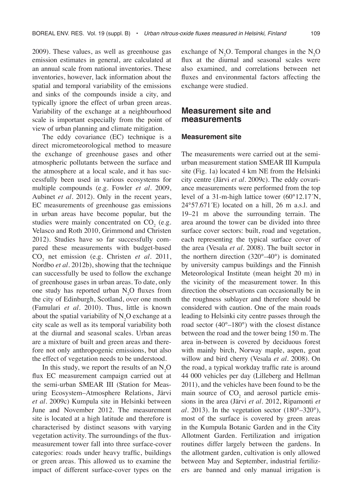2009). These values, as well as greenhouse gas emission estimates in general, are calculated at an annual scale from national inventories. These inventories, however, lack information about the spatial and temporal variability of the emissions and sinks of the compounds inside a city, and typically ignore the effect of urban green areas. Variability of the exchange at a neighbourhood scale is important especially from the point of view of urban planning and climate mitigation.

The eddy covariance (EC) technique is a direct micrometeorological method to measure the exchange of greenhouse gases and other atmospheric pollutants between the surface and the atmosphere at a local scale, and it has successfully been used in various ecosystems for multiple compounds (e.g. Fowler *et al.* 2009, Aubinet *et al.* 2012). Only in the recent years, EC measurements of greenhouse gas emissions in urban areas have become popular, but the studies were mainly concentrated on  $CO<sub>2</sub>$  (e.g. Velasco and Roth 2010, Grimmond and Christen 2012). Studies have so far successfully compared these measurements with budget-based  $CO<sub>2</sub>$  net emission (e.g. Christen *et al.* 2011, Nordbo *et al.* 2012b), showing that the technique can successfully be used to follow the exchange of greenhouse gases in urban areas. To date, only one study has reported urban  $N_2O$  fluxes from the city of Edinburgh, Scotland, over one month (Famulari *et al.* 2010). Thus, little is known about the spatial variability of  $N_2O$  exchange at a city scale as well as its temporal variability both at the diurnal and seasonal scales. Urban areas are a mixture of built and green areas and therefore not only anthropogenic emissions, but also the effect of vegetation needs to be understood.

In this study, we report the results of an  $N_2O$ flux EC measurement campaign carried out at the semi-urban SMEAR III (Station for Measuring Ecosystem–Atmosphere Relations, Järvi *et al.* 2009c) Kumpula site in Helsinki between June and November 2012. The measurement site is located at a high latitude and therefore is characterised by distinct seasons with varying vegetation activity. The surroundings of the fluxmeasurement tower fall into three surface-cover categories: roads under heavy traffic, buildings or green areas. This allowed us to examine the impact of different surface-cover types on the

exchange of  $N_2O$ . Temporal changes in the  $N_2O$ flux at the diurnal and seasonal scales were also examined, and correlations between net fluxes and environmental factors affecting the exchange were studied.

## **Measurement site and measurements**

#### **Measurement site**

The measurements were carried out at the semiurban measurement station SMEAR III Kumpula site (Fig. 1a) located 4 km NE from the Helsinki city centre (Järvi *et al.* 2009c). The eddy covariance measurements were performed from the top level of a 31-m-high lattice tower (60°12.17´N,  $24^{\circ}57.671'$ E) located on a hill,  $26$  m a.s.l. and 19–21 m above the surrounding terrain. The area around the tower can be divided into three surface cover sectors: built, road and vegetation, each representing the typical surface cover of the area (Vesala *et al.* 2008). The built sector in the northern direction (320°–40°) is dominated by university campus buildings and the Finnish Meteorological Institute (mean height 20 m) in the vicinity of the measurement tower. In this direction the observations can occasionally be in the roughness sublayer and therefore should be considered with caution. One of the main roads leading to Helsinki city centre passes through the road sector (40°–180°) with the closest distance between the road and the tower being 150 m. The area in-between is covered by deciduous forest with mainly birch, Norway maple, aspen, goat willow and bird cherry (Vesala *et al.* 2008). On the road, a typical workday traffic rate is around 44 000 vehicles per day (Lilleberg and Hellman 2011), and the vehicles have been found to be the main source of  $CO<sub>2</sub>$  and aerosol particle emissions in the area (Järvi *et al.* 2012, Ripamonti *et al.* 2013). In the vegetation sector  $(180^{\circ}-320^{\circ})$ , most of the surface is covered by green areas in the Kumpula Botanic Garden and in the City Allotment Garden. Fertilization and irrigation routines differ largely between the gardens. In the allotment garden, cultivation is only allowed between May and September, industrial fertilizers are banned and only manual irrigation is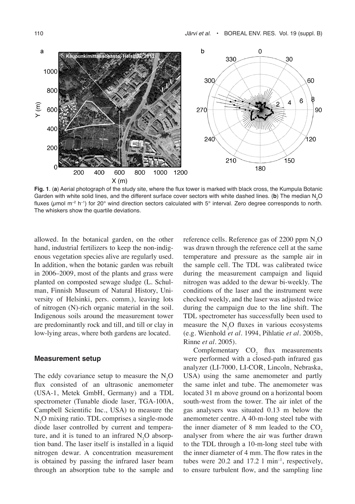

**Fig. 1**. (**a**) Aerial photograph of the study site, where the flux tower is marked with black cross, the Kumpula Botanic Garden with white solid lines, and the different surface cover sectors with white dashed lines. (**b**) The median N<sub>2</sub>O fluxes ( $\mu$ mol m<sup>-2</sup> h<sup>-1</sup>) for 20° wind direction sectors calculated with 5° interval. Zero degree corresponds to north. The whiskers show the quartile deviations.

allowed. In the botanical garden, on the other hand, industrial fertilizers to keep the non-indigenous vegetation species alive are regularly used. In addition, when the botanic garden was rebuilt in 2006–2009, most of the plants and grass were planted on composted sewage sludge (L. Schulman, Finnish Museum of Natural History, University of Helsinki, pers. comm.), leaving lots of nitrogen (N)-rich organic material in the soil. Indigenous soils around the measurement tower are predominantly rock and till, and till or clay in low-lying areas, where both gardens are located.

#### **Measurement setup**

The eddy covariance setup to measure the  $N_2O$ flux consisted of an ultrasonic anemometer (USA-1, Metek GmbH, Germany) and a TDL spectrometer (Tunable diode laser, TGA-100A, Campbell Scientific Inc., USA) to measure the N2 O mixing ratio. TDL comprises a single-mode diode laser controlled by current and temperature, and it is tuned to an infrared  $N_2O$  absorption band. The laser itself is installed in a liquid nitrogen dewar. A concentration measurement is obtained by passing the infrared laser beam through an absorption tube to the sample and

reference cells. Reference gas of 2200 ppm  $N_2O$ was drawn through the reference cell at the same temperature and pressure as the sample air in the sample cell. The TDL was calibrated twice during the measurement campaign and liquid nitrogen was added to the dewar bi-weekly. The conditions of the laser and the instrument were checked weekly, and the laser was adjusted twice during the campaign due to the line shift. The TDL spectrometer has successfully been used to measure the  $N_2O$  fluxes in various ecosystems (e.g. Wienhold *et al.* 1994, Pihlatie *et al.* 2005b, Rinne *et al.* 2005).

Complementary  $CO<sub>2</sub>$  flux measurements were performed with a closed-path infrared gas analyzer (LI-7000, LI-COR, Lincoln, Nebraska, USA) using the same anemometer and partly the same inlet and tube. The anemometer was located 31 m above ground on a horizontal boom south-west from the tower. The air inlet of the gas analysers was situated 0.13 m below the anemometer centre. A 40-m-long steel tube with the inner diameter of  $8 \text{ mm}$  leaded to the  $CO<sub>2</sub>$ analyser from where the air was further drawn to the TDL through a 10-m-long steel tube with the inner diameter of 4 mm. The flow rates in the tubes were  $20.2$  and  $17.2$  l min<sup>-1</sup>, respectively, to ensure turbulent flow, and the sampling line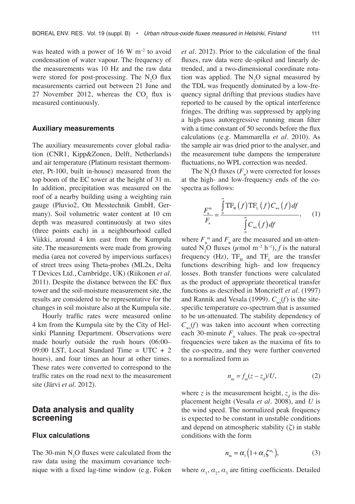was heated with a power of 16 W  $\mathrm{m}^{-2}$  to avoid condensation of water vapour. The frequency of the measurements was 10 Hz and the raw data were stored for post-processing. The  $N_2O$  flux measurements carried out between 21 June and 27 November 2012, whereas the  $CO_2$  flux is measured continuously.

#### **Auxiliary measurements**

The auxiliary measurements cover global radiation (CNR1, Kipp&Zonen, Delft, Netherlands) and air temperature (Platinum resistant thermometer, Pt-100, built in-house) measured from the top boom of the EC tower at the height of 31 m. In addition, precipitation was measured on the roof of a nearby building using a weighting rain gauge (Pluvio2, Ott Messtechnik GmbH, Germany). Soil volumetric water content at 10 cm depth was measured continuously at two sites (three points each) in a neighbourhood called Viikki, around 4 km east from the Kumpula site. The measurements were made from growing media (area not covered by impervious surfaces) of street trees using Theta-probes (ML2x, Delta T Devices Ltd., Cambridge, UK) (Riikonen *et al.* 2011). Despite the distance between the EC flux tower and the soil-moisture measurement site, the results are considered to be representative for the changes in soil moisture also at the Kumpula site.

Hourly traffic rates were measured online 4 km from the Kumpula site by the City of Helsinki Planning Department. Observations were made hourly outside the rush hours (06:00– 09:00 LST, Local Standard Time = UTC + 2 hours), and four times an hour at other times. These rates were converted to correspond to the traffic rates on the road next to the measurement site (Järvi *et al.* 2012).

## **Data analysis and quality screening**

#### **Flux calculations**

The 30-min  $N_2O$  fluxes were calculated from the raw data using the maximum covariance technique with a fixed lag-time window (e.g. Foken

*et al.* 2012). Prior to the calculation of the final fluxes, raw data were de-spiked and linearly detrended, and a two-dimensional coordinate rotation was applied. The  $N_2O$  signal measured by the TDL was frequently dominated by a low-frequency signal drifting that previous studies have reported to be caused by the optical interference fringes. The drifting was suppressed by applying a high-pass autoregressive running mean filter with a time constant of 50 seconds before the flux calculations (e.g. Mammarella *et al.* 2010). As the sample air was dried prior to the analyser, and the measurement tube dampens the temperature fluctuations, no WPL correction was needed.

The  $N_2O$  fluxes  $(F_n)$  were corrected for losses at the high- and low-frequency ends of the cospectra as follows:

$$
\frac{F_{\scriptscriptstyle n}^{\scriptscriptstyle{m}}}{F_{\scriptscriptstyle n}} = \frac{\int_{0}^{\scriptscriptstyle{\infty}} \text{TF}_{\scriptscriptstyle{H}}(f) \text{TF}_{\scriptscriptstyle{L}}(f) C_{\scriptscriptstyle{\text{ws}}}(f) df}{\int_{0}^{\scriptscriptstyle{\infty}} C_{\scriptscriptstyle{\text{ws}}}(f) df}, \qquad (1)
$$

where  $F_{n}^{m}$  and  $F_{n}$  are the measured and un-attenuated N<sub>2</sub>O fluxes ( $\mu$ mol m<sup>-2</sup> h<sup>-1</sup>), *f* is the natural frequency (Hz),  $TF_{H}$  and  $TF_{L}$  are the transfer functions describing high- and low frequency losses. Both transfer functions were calculated as the product of appropriate theoretical transfer functions as described in Moncrieff *et al.* (1997) and Rannik and Vesala (1999).  $C_{ws}(f)$  is the sitespecific temperature co-spectrum that is assumed to be un-attenuated. The stability dependency of  $C_{\mu\nu}(f)$  was taken into account when correcting each 30-minute  $F_{n}$  values. The peak co-spectral frequencies were taken as the maxima of fits to the co-spectra, and they were further converted to a normalized form as

$$
n_{\rm m} = f_{\rm m}(z - z_{\rm d})/U,\tag{2}
$$

where  $z$  is the measurement height,  $z_d$  is the displacement height (Vesala *et al.* 2008), and *U* is the wind speed. The normalized peak frequency is expected to be constant in unstable conditions and depend on atmospheric stability (*ζ*) in stable conditions with the form

$$
n_{m} = \alpha_{1} \left( 1 + \alpha_{2} \zeta^{\alpha_{3}} \right), \tag{3}
$$

where  $\alpha_1$ ,  $\alpha_2$ ,  $\alpha_3$  are fitting coefficients. Detailed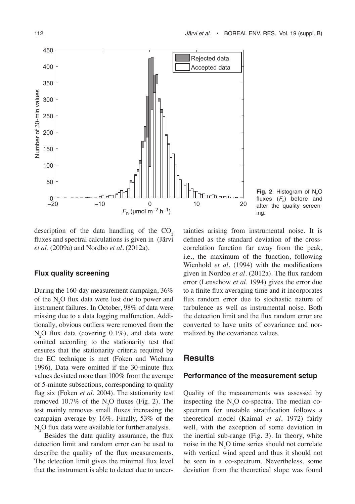

**Fig. 2**. Histogram of  $N_2O$ fluxes  $(F_n)$  before and after the quality screening.

description of the data handling of the  $CO<sub>2</sub>$ fluxes and spectral calculations is given in (Järvi *et al.* (2009a) and Nordbo *et al.* (2012a).

#### **Flux quality screening**

During the 160-day measurement campaign, 36% of the  $N_2O$  flux data were lost due to power and instrument failures. In October, 98% of data were missing due to a data logging malfunction. Additionally, obvious outliers were removed from the  $N_2O$  flux data (covering 0.1%), and data were omitted according to the stationarity test that ensures that the stationarity criteria required by the EC technique is met (Foken and Wichura 1996). Data were omitted if the 30-minute flux values deviated more than 100% from the average of 5-minute subsections, corresponding to quality flag six (Foken *et al.* 2004). The stationarity test removed 10.7% of the  $N_2O$  fluxes (Fig. 2). The test mainly removes small fluxes increasing the campaign average by 16%. Finally, 53% of the  $N<sub>2</sub>O$  flux data were available for further analysis.

Besides the data quality assurance, the flux detection limit and random error can be used to describe the quality of the flux measurements. The detection limit gives the minimal flux level that the instrument is able to detect due to uncertainties arising from instrumental noise. It is defined as the standard deviation of the crosscorrelation function far away from the peak, i.e., the maximum of the function, following Wienhold *et al.* (1994) with the modifications given in Nordbo *et al.* (2012a). The flux random error (Lenschow *et al.* 1994) gives the error due to a finite flux averaging time and it incorporates flux random error due to stochastic nature of turbulence as well as instrumental noise. Both the detection limit and the flux random error are converted to have units of covariance and normalized by the covariance values.

## **Results**

#### **Performance of the measurement setup**

Quality of the measurements was assessed by inspecting the  $N_2O$  co-spectra. The median cospectrum for unstable stratification follows a theoretical model (Kaimal *et al.* 1972) fairly well, with the exception of some deviation in the inertial sub-range (Fig. 3). In theory, white noise in the  $N_2O$  time series should not correlate with vertical wind speed and thus it should not be seen in a co-spectrum. Nevertheless, some deviation from the theoretical slope was found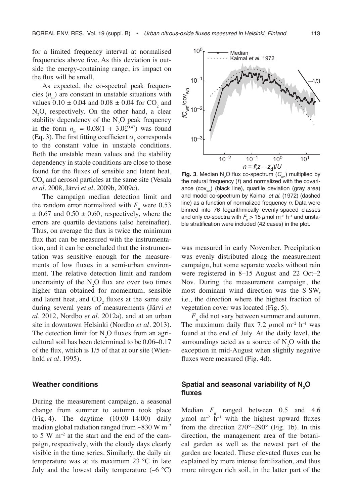for a limited frequency interval at normalised frequencies above five. As this deviation is outside the energy-containing range, irs impact on the flux will be small.

As expected, the co-spectral peak frequencies  $(n_m)$  are constant in unstable situations with values  $0.10 \pm 0.04$  and  $0.08 \pm 0.04$  for CO<sub>2</sub> and  $N_2O$ , respectively. On the other hand, a clear stability dependency of the  $N_2O$  peak frequency in the form  $n_m = 0.08(1 + 3.0\zeta^{0.47})$  was found (Eq. 3). The first fitting coefficient  $\alpha_1$  corresponds to the constant value in unstable conditions. Both the unstable mean values and the stability dependency in stable conditions are close to those found for the fluxes of sensible and latent heat,  $CO<sub>2</sub>$  and aerosol particles at the same site (Vesala *et al.* 2008, Järvi *et al.* 2009b, 2009c).

The campaign median detection limit and the random error normalized with  $F_n$  were 0.53  $\pm$  0.67 and 0.50  $\pm$  0.60, respectively, where the errors are quartile deviations (also hereinafter). Thus, on average the flux is twice the minimum flux that can be measured with the instrumentation, and it can be concluded that the instrumentation was sensitive enough for the measurements of low fluxes in a semi-urban environment. The relative detection limit and random uncertainty of the  $N_2O$  flux are over two times higher than obtained for momentum, sensible and latent heat, and  $CO_2$  fluxes at the same site during several years of measurements (Järvi *et al.* 2012, Nordbo *et al.* 2012a), and at an urban site in downtown Helsinki (Nordbo *et al.* 2013). The detection limit for  $N_2O$  fluxes from an agricultural soil has been determined to be 0.06–0.17 of the flux, which is 1/5 of that at our site (Wienhold *et al*. 1995).

#### **Weather conditions**

During the measurement campaign, a seasonal change from summer to autumn took place (Fig. 4). The daytime (10:00–14:00) daily median global radiation ranged from  $\sim 830 \text{ W m}^{-2}$ to 5 W  $\mathrm{m}^{-2}$  at the start and the end of the campaign, respectively, with the cloudy days clearly visible in the time series. Similarly, the daily air temperature was at its maximum 23 °C in late July and the lowest daily temperature  $(-6 \degree C)$ 



**Fig. 3**. Median  $N_2$ O flux co-spectrum  $(C_{\text{wn}})$  multiplied by the natural frequency (*f*) and normalized with the covariance  $(cov_{wm})$  (black line), quartile deviation (gray area) and model co-spectrum by Kaimal *et al.* (1972) (dashed line) as a function of normalized frequency *n*. Data were binned into 76 logarithmically evenly-spaced classes and only co-spectra with  $F_{\scriptscriptstyle \rm n}$   $>$  15  $\mu$ mol m<sup>-2</sup> h<sup>-1</sup> and unstable stratification were included (42 cases) in the plot.

was measured in early November. Precipitation was evenly distributed along the measurement campaign, but some separate weeks without rain were registered in 8–15 August and 22 Oct–2 Nov. During the measurement campaign, the most dominant wind direction was the S-SW, i.e., the direction where the highest fraction of vegetation cover was located (Fig. 5).

*F*n did not vary between summer and autumn. The maximum daily flux 7.2  $\mu$  mol m<sup>-2</sup> h<sup>-1</sup> was found at the end of July. At the daily level, the surroundings acted as a source of  $N_2O$  with the exception in mid-August when slightly negative fluxes were measured (Fig. 4d).

### **Spatial and seasonal variability of N2 O fluxes**

Median  $F_n$  ranged between 0.5 and 4.6  $\mu$ mol m<sup>-2</sup> h<sup>-1</sup> with the highest upward fluxes from the direction  $270^{\circ} - 290^{\circ}$  (Fig. 1b). In this direction, the management area of the botanical garden as well as the newest part of the garden are located. These elevated fluxes can be explained by more intense fertilization, and thus more nitrogen rich soil, in the latter part of the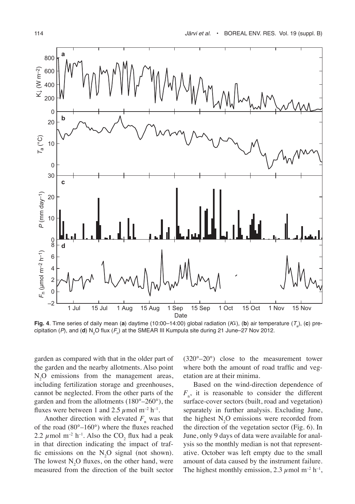

**Fig. 4**. Time series of daily mean (**a**) daytime (10:00–14:00) global radiation (*K*), (**b**) air temperature (*T*<sup>a</sup> ), (**c**) precipitation (*P*), and (**d**)  $\mathsf{N}_{2}\mathsf{O}$  flux ( $\mathsf{F}_{_{\textsf{D}}}\mathsf{)}$  at the SMEAR III Kumpula site during 21 June–27 Nov 2012.

garden as compared with that in the older part of the garden and the nearby allotments. Also point  $N_2O$  emissions from the management areas, including fertilization storage and greenhouses, cannot be neglected. From the other parts of the garden and from the allotments (180°–260°), the fluxes were between 1 and 2.5  $\mu$  mol m<sup>-2</sup> h<sup>-1</sup>.

Another direction with elevated  $F_n$  was that of the road (80°–160°) where the fluxes reached 2.2  $\mu$  mol m<sup>-2</sup> h<sup>-1</sup>. Also the CO<sub>2</sub> flux had a peak in that direction indicating the impact of traffic emissions on the  $N_2O$  signal (not shown). The lowest  $N_2O$  fluxes, on the other hand, were measured from the direction of the built sector

(320°–20°) close to the measurement tower where both the amount of road traffic and vegetation are at their minima.

Based on the wind-direction dependence of  $F_{n}$ , it is reasonable to consider the different surface-cover sectors (built, road and vegetation) separately in further analysis. Excluding June, the highest  $N_2O$  emissions were recorded from the direction of the vegetation sector (Fig. 6). In June, only 9 days of data were available for analysis so the monthly median is not that representative. October was left empty due to the small amount of data caused by the instrument failure. The highest monthly emission, 2.3  $\mu$  mol m<sup>-2</sup> h<sup>-1</sup>,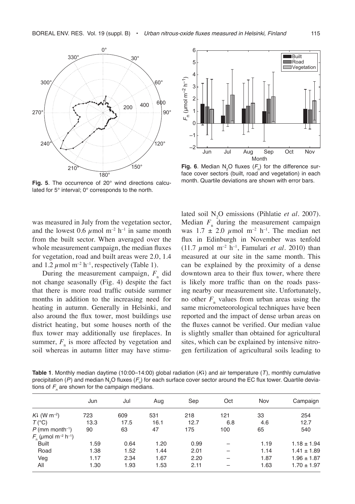

Fig. 5. The occurrence of 20° wind directions calculated for 5° interval; 0° corresponds to the north.

was measured in July from the vegetation sector, and the lowest 0.6  $\mu$ mol m<sup>-2</sup> h<sup>-1</sup> in same month from the built sector. When averaged over the whole measurement campaign, the median fluxes for vegetation, road and built areas were 2.0, 1.4 and 1.2  $\mu$  mol m<sup>-2</sup> h<sup>-1</sup>, respectively (Table 1).

During the measurement campaign,  $F_{n}$  did not change seasonally (Fig. 4) despite the fact that there is more road traffic outside summer months in addition to the increasing need for heating in autumn. Generally in Helsinki, and also around the flux tower, most buildings use district heating, but some houses north of the flux tower may additionally use fireplaces. In summer,  $F_{n}$  is more affected by vegetation and soil whereas in autumn litter may have stimu-



**Fig. 6.** Median N<sub>2</sub>O fluxes  $(F_n)$  for the difference surface cover sectors (built, road and vegetation) in each month. Quartile deviations are shown with error bars.

lated soil N<sub>2</sub>O emissions (Pihlatie *et al.* 2007). Median  $F_{n}$  during the measurement campaign was  $1.7 \pm 2.0 \mu$  mol m<sup>-2</sup> h<sup>-1</sup>. The median net flux in Edinburgh in November was tenfold (11.7  $\mu$ mol m<sup>-2</sup> h<sup>-1</sup>, Famulari *et al.* 2010) than measured at our site in the same month. This can be explained by the proximity of a dense downtown area to their flux tower, where there is likely more traffic than on the roads passing nearby our measurement site. Unfortunately, no other  $F_{\text{n}}$  values from urban areas using the same micrometeorological techniques have been reported and the impact of dense urban areas on the fluxes cannot be verified. Our median value is slightly smaller than obtained for agricultural sites, which can be explained by intensive nitrogen fertilization of agricultural soils leading to

**Table 1**. Monthly median daytime (10:00–14:00) global radiation (*K*) and air temperature (*T*), monthly cumulative precipitation (*P*) and median N<sub>2</sub>O fluxes (F<sub>n</sub>) for each surface cover sector around the EC flux tower. Quartile deviations of  $F<sub>n</sub>$  are shown for the campaign medians.

|                                               | Jun  | Jul  | Aug  | Sep  | Oct | Nov  | Campaign        |
|-----------------------------------------------|------|------|------|------|-----|------|-----------------|
| $K\downarrow$ (W m <sup>-2</sup> )            | 723  | 609  | 531  | 218  | 121 | 33   | 254             |
| $T(^{\circ}C)$                                | 13.3 | 17.5 | 16.1 | 12.7 | 6.8 | 4.6  | 12.7            |
| $P$ (mm month <sup>-1</sup> )                 | 90   | 63   | 47   | 175  | 100 | 65   | 540             |
| $F_n$ (umol m <sup>-2</sup> h <sup>-1</sup> ) |      |      |      |      |     |      |                 |
| <b>Built</b>                                  | 1.59 | 0.64 | 1.20 | 0.99 |     | 1.19 | $1.18 \pm 1.94$ |
| Road                                          | 1.38 | 1.52 | 1.44 | 2.01 |     | 1.14 | $1.41 \pm 1.89$ |
| Veg                                           | 1.17 | 2.34 | 1.67 | 2.20 |     | 1.87 | $1.96 \pm 1.87$ |
| All                                           | 1.30 | 1.93 | 1.53 | 2.11 |     | 1.63 | $1.70 \pm 1.97$ |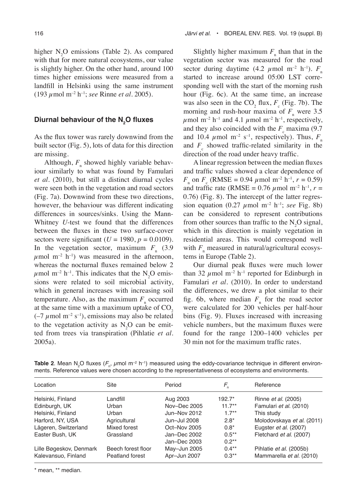higher  $N_2O$  emissions (Table 2). As compared with that for more natural ecosystems, our value is slightly higher. On the other hand, around 100 times higher emissions were measured from a landfill in Helsinki using the same instrument (193 µmol m–2 h–1; *see* Rinne *et al.* 2005).

# **Diurnal behaviour of the N2 O fluxes**

As the flux tower was rarely downwind from the built sector (Fig. 5), lots of data for this direction are missing.

Although,  $F_{n}$  showed highly variable behaviour similarly to what was found by Famulari *et al.* (2010), but still a distinct diurnal cycles were seen both in the vegetation and road sectors (Fig. 7a). Downwind from these two directions, however, the behaviour was different indicating differences in sources/sinks. Using the Mann-Whitney *U*-test we found that the differences between the fluxes in these two surface-cover sectors were significant ( $U = 1980$ ,  $p = 0.0109$ ). In the vegetation sector, maximum  $F_n$  (3.9)  $\mu$ mol m<sup>-2</sup> h<sup>-1</sup>) was measured in the afternoon, whereas the nocturnal fluxes remained below 2  $\mu$  mol m<sup>-2</sup> h<sup>-1</sup>. This indicates that the N<sub>2</sub>O emissions were related to soil microbial activity, which in general increases with increasing soil temperature. Also, as the maximum  $F_{n}$  occurred at the same time with a maximum uptake of  $CO<sub>2</sub>$  $(-7 \mu \text{mol m}^{-2} \text{ s}^{-1})$ , emissions may also be related to the vegetation activity as  $N_2O$  can be emitted from trees via transpiration (Pihlatie *et al.* 2005a).

Slightly higher maximum  $F_n$  than that in the vegetation sector was measured for the road sector during daytime  $(4.2 \mu \text{mol m}^{-2} \text{h}^{-1})$ .  $F_{n}$ started to increase around 05:00 LST corresponding well with the start of the morning rush hour (Fig. 6c). At the same time, an increase was also seen in the  $CO_2$  flux,  $F_c$  (Fig. 7b). The morning and rush-hour maxima of  $F_n$  were 3.5  $\mu$ mol m<sup>-2</sup> h<sup>-1</sup> and 4.1  $\mu$ mol m<sup>-2</sup> h<sup>-1</sup>, respectively, and they also coincided with the  $F_c$  maxima (9.7) and 10.4  $\mu$ mol m<sup>-2</sup> s<sup>-1</sup>, respectively). Thus,  $F_n$ and  $F_c$  showed traffic-related similarity in the direction of the road under heavy traffic.

A linear regression between the median fluxes and traffic values showed a clear dependence of  $F_n$  on  $F_c$  (RMSE = 0.94  $\mu$  mol m<sup>-2</sup> h<sup>-1</sup>,  $r = 0.59$ ) and traffic rate (RMSE =  $0.76 \mu$  mol m<sup>-2</sup> h<sup>-1</sup>,  $r =$ 0.76) (Fig. 8). The intercept of the latter regression equation (0.27  $\mu$ mol m<sup>-2</sup> h<sup>-1</sup>; *see* Fig. 8b) can be considered to represent contributions from other sources than traffic to the  $N_2O$  signal, which in this direction is mainly vegetation in residential areas. This would correspond well with  $F_{n}$  measured in natural/agricultural ecosystems in Europe (Table 2).

Our diurnal peak fluxes were much lower than 32  $\mu$  mol m<sup>-2</sup> h<sup>-1</sup> reported for Edinburgh in Famulari *et al.* (2010). In order to understand the differences, we drew a plot similar to their fig. 6b, where median  $F_n$  for the road sector were calculated for 200 vehicles per half-hour bins (Fig. 9). Fluxes increased with increasing vehicle numbers, but the maximum fluxes were found for the range 1200–1400 vehicles per 30 min not for the maximum traffic rates.

| Location                | Site               | Period       | F,        | Reference                  |
|-------------------------|--------------------|--------------|-----------|----------------------------|
| Helsinki, Finland       | Landfill           | Aug 2003     | 192.7*    | Rinne <i>et al.</i> (2005) |
| Edinburgh, UK           | Urban              | Nov-Dec 2005 | $11.7***$ | Famulari et al. (2010)     |
| Helsinki, Finland       | Urban              | Jun-Nov 2012 | $17**$    | This study                 |
| Harford, NY, USA        | Agricultural       | Jun-Jul 2008 | $2.8*$    | Molodovskaya et al. (2011) |
| Lägeren, Switzerland    | Mixed forest       | Oct-Nov 2005 | $0.8*$    | Eugster et al. (2007)      |
| Easter Bush, UK         | Grassland          | Jan-Dec 2002 | $0.5***$  | Fletchard et al. (2007)    |
|                         |                    | Jan-Dec 2003 | $0.2***$  |                            |
| Lille Bøgeskov, Denmark | Beech forest floor | May-Jun 2005 | $0.4***$  | Pihlatie et al. (2005b)    |
| Kalevansuo, Finland     | Peatland forest    | Apr-Jun 2007 | $0.3**$   | Mammarella et al. (2010)   |

**Table 2**. Mean N<sub>2</sub>O fluxes ( $F_n$ , µmol m<sup>-2</sup> h<sup>-1</sup>) measured using the eddy-covariance technique in different environments. Reference values were chosen according to the representativeness of ecosystems and environments.

\* mean, \*\* median.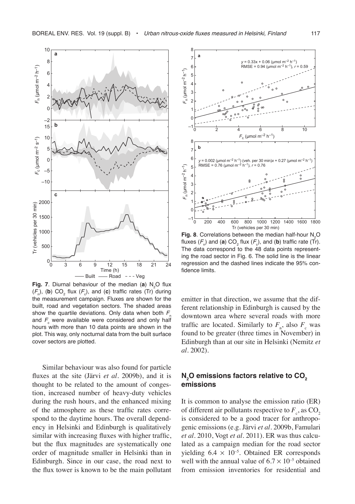

**Fig. 7**. Diurnal behaviour of the median (a)  $N_2$ O flux  $(F_n)$ , (b)  $CO_2$  flux  $(F_c)$ , and (c) traffic rates (Tr) during the measurement campaign. Fluxes are shown for the built, road and vegetation sectors. The shaded areas show the quartile deviations. Only data when both  $F_n$ and  $F_{\rm c}$  were available were considered and only half hours with more than 10 data points are shown in the plot. This way, only nocturnal data from the built surface cover sectors are plotted.

Similar behaviour was also found for particle fluxes at the site (Järvi *et al.* 2009b), and it is thought to be related to the amount of congestion, increased number of heavy-duty vehicles during the rush hours, and the enhanced mixing of the atmosphere as these traffic rates correspond to the daytime hours. The overall dependency in Helsinki and Edinburgh is qualitatively similar with increasing fluxes with higher traffic, but the flux magnitudes are systematically one order of magnitude smaller in Helsinki than in Edinburgh. Since in our case, the road next to the flux tower is known to be the main pollutant



**Fig. 8**. Correlations between the median half-hour  $N_2O$ fluxes  $(F_{n})$  and (**a**)  $CO_{2}$  flux  $(F_{c})$ , and (**b**) traffic rate (Tr). The data correspond to the 48 data points representing the road sector in Fig. 6. The solid line is the linear regression and the dashed lines indicate the 95% confidence limits.

emitter in that direction, we assume that the different relationship in Edinburgh is caused by the downtown area where several roads with more traffic are located. Similarly to  $F_{n}$ , also  $F_{c}$  was found to be greater (three times in November) in Edinburgh than at our site in Helsinki (Nemitz *et al.* 2002).

#### **N**<sub>2</sub>O emissions factors relative to CO<sub>2</sub> **emissions**

It is common to analyse the emission ratio (ER) of different air pollutants respective to  $F_{\rm c}$ , as  $\rm CO_{2}$ is considered to be a good tracer for anthropogenic emissions (e.g. Järvi *et al.* 2009b, Famulari *et al.* 2010, Vogt *et al.* 2011). ER was thus calculated as a campaign median for the road sector yielding  $6.4 \times 10^{-5}$ . Obtained ER corresponds well with the annual value of  $6.7 \times 10^{-5}$  obtained from emission inventories for residential and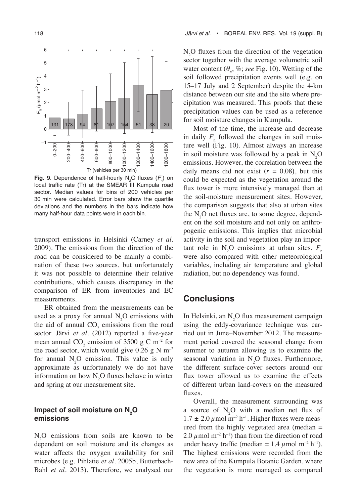

**Fig. 9**. Dependence of half-hourly  $N_2$ O fluxes  $(F_n)$  on local traffic rate (Tr) at the SMEAR III Kumpula road sector. Median values for bins of 200 vehicles per 30 min were calculated. Error bars show the quartile deviations and the numbers in the bars indicate how many half-hour data points were in each bin.

transport emissions in Helsinki (Carney *et al.* 2009). The emissions from the direction of the road can be considered to be mainly a combination of these two sources, but unfortunately it was not possible to determine their relative contributions, which causes discrepancy in the comparison of ER from inventories and EC measurements.

ER obtained from the measurements can be used as a proxy for annual  $N_2O$  emissions with the aid of annual  $CO_2$  emissions from the road sector. Järvi *et al.* (2012) reported a five-year mean annual  $CO_2$  emission of 3500 g C m<sup>-2</sup> for the road sector, which would give 0.26 g N  $\mathrm{m}^{-2}$ for annual  $N_2O$  emission. This value is only approximate as unfortunately we do not have information on how  $N_2O$  fluxes behave in winter and spring at our measurement site.

#### Impact of soil moisture on  $N_{2}$ O **emissions**

 $N_2O$  emissions from soils are known to be dependent on soil moisture and its changes as water affects the oxygen availability for soil microbes (e.g. Pihlatie *et al.* 2005b, Butterbach-Bahl *et al.* 2013). Therefore, we analysed our

 $N_2$ O fluxes from the direction of the vegetation sector together with the average volumetric soil water content  $(\theta_{\rm v}, \%;$  *see* Fig. 10). Wetting of the soil followed precipitation events well (e.g. on 15–17 July and 2 September) despite the 4-km distance between our site and the site where precipitation was measured. This proofs that these precipitation values can be used as a reference for soil moisture changes in Kumpula.

Most of the time, the increase and decrease in daily  $F_{n}$  followed the changes in soil moisture well (Fig. 10). Almost always an increase in soil moisture was followed by a peak in  $N_2O$ emissions. However, the correlation between the daily means did not exist  $(r = 0.08)$ , but this could be expected as the vegetation around the flux tower is more intensively managed than at the soil-moisture measurement sites. However, the comparison suggests that also at urban sites the  $N_2O$  net fluxes are, to some degree, dependent on the soil moisture and not only on anthropogenic emissions. This implies that microbial activity in the soil and vegetation play an important role in  $N_2$ O emissions at urban sites.  $F_n$ were also compared with other meteorological variables, including air temperature and global radiation, but no dependency was found.

## **Conclusions**

In Helsinki, an  $N_2O$  flux measurement campaign using the eddy-covariance technique was carried out in June–November 2012. The measurement period covered the seasonal change from summer to autumn allowing us to examine the seasonal variation in  $N_2O$  fluxes. Furthermore, the different surface-cover sectors around our flux tower allowed us to examine the effects of different urban land-covers on the measured fluxes.

Overall, the measurement surrounding was a source of  $N_2O$  with a median net flux of  $1.7 \pm 2.0 \,\mu$  mol m<sup>-2</sup> h<sup>-1</sup>. Higher fluxes were measured from the highly vegetated area (median = 2.0  $\mu$  mol m<sup>-2</sup> h<sup>-1</sup>) than from the direction of road under heavy traffic (median =  $1.4 \mu$  mol m<sup>-2</sup> h<sup>-1</sup>). The highest emissions were recorded from the new area of the Kumpula Botanic Garden, where the vegetation is more managed as compared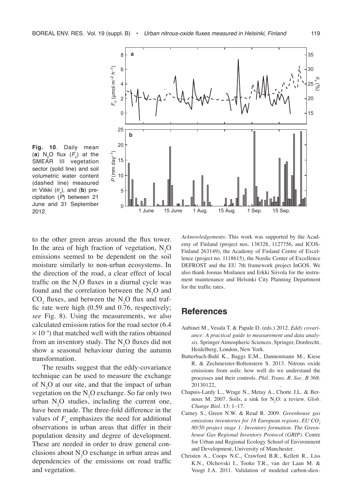

**Fig. 10**. Daily mean (a)  $N_2O$  flux  $(F_n)$  at the SMEAR III vegetation sector (solid line) and soil volumetric water content (dashed line) measured in Viikki  $(\theta_{\rm v})$ , and (**b**) precipitation (*P*) between 21 June and 31 September 2012.

to the other green areas around the flux tower. In the area of high fraction of vegetation,  $N_2O$ emissions seemed to be dependent on the soil moisture similarly to non-urban ecosystems. In the direction of the road, a clear effect of local traffic on the  $N_2O$  fluxes in a diurnal cycle was found and the correlation between the  $N_2O$  and  $CO_2$  fluxes, and between the N<sub>2</sub>O flux and traffic rate were high (0.59 and 0.76, respectively; *see* Fig. 8). Using the measurements, we also calculated emission ratios for the road sector (6.4  $\times$  10<sup>-5</sup>) that matched well with the ratios obtained from an inventory study. The  $N_2O$  fluxes did not show a seasonal behaviour during the autumn transformation.

The results suggest that the eddy-covariance technique can be used to measure the exchange of  $N_2$ O at our site, and that the impact of urban vegetation on the  $N_2O$  exchange. So far only two urban  $N_2O$  studies, including the current one, have been made. The three-fold difference in the values of  $F_n$  emphasizes the need for additional observations in urban areas that differ in their population density and degree of development. These are needed in order to draw general conclusions about  $N_2O$  exchange in urban areas and dependencies of the emissions on road traffic and vegetation.

*Acknowledgements*: This work was supported by the Academy of Finland (project nos. 138328, 1127756, and ICOS-Finland 263149), the Academy of Finland Centre of Excellence (project no. 1118615), the Nordic Center of Excellence DEFROST and the EU 7th framework project InGOS. We also thank Joonas Moilanen and Erkki Siivola for the instrument maintenance and Helsinki City Planning Department for the traffic rates.

## **References**

- Aubinet M., Vesala T. & Papale D. (eds.) 2012. *Eddy covariance: A practical guide to measurement and data analysis.* Springer Atmospheric Sciences, Springer, Dordrecht, Heidelberg, London, New York.
- Butterbach-Bahl K., Baggs E.M., Dannenmann M., Kiese R. & Zechmeister-Boltenstern S. 2013. Nitrous oxide emissions from soils: how well do we understand the processes and their controls. *Phil. Trans. R. Soc. B* 368: 20130122,
- Chapuis-Lardy L., Wrage N., Metay A., Chotte J.L. & Bernoux M. 2007. Soils, a sink for  $N_2O$ : a review. *Glob*. *Change Biol.* 13: 1–17.
- Carney S., Green N.W. & Read R. 2009. *Greenhouse gas emissions inventories for 18 European regions. EU CO<sub>2</sub> 80/50 project stage 1: Inventory formation. The Greenhouse Gas Regional Inventory Protocol (GRIP)*. Centre for Urban and Regional Ecology School of Environment and Development, University of Manchester.
- Christen A., Coops N.C., Crawford B.R., Kellett R., Liss K.N., Olchovski I., Tooke T.R., van der Laan M. & Voogt J.A. 2011. Validation of modeled carbon-diox-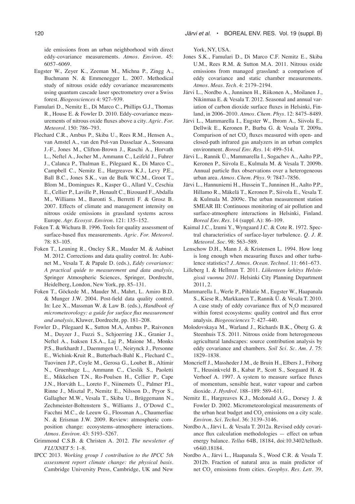120 *Järvi et al.* • BOREAL ENV. RES. Vol. 19 (suppl. B)

ide emissions from an urban neighborhood with direct eddy-covariance measurements. *Atmos. Environ.* 45: 6057–6069.

- Eugster W., Zeyer K., Zeeman M., Michna P., Zingg A., Buchmann N. & Emmenegger L. 2007. Methodical study of nitrous oxide eddy covariance measurements using quantum cascade laser spectrometery over a Swiss forest. *Biogeosciences* 4: 927–939.
- Famulari D., Nemitz E., Di Marco C., Phillips G.J., Thomas R., House E. & Fowler D. 2010. Eddy-covariance measurements of nitrous oxide fluxes above a city. *Agric. For. Meteorol*. 150: 786–793.
- Flechard C.R., Ambus P., Skiba U., Rees R.M., Hensen A., van Amstel A., van den Pol-van Dasselaar A., Soussana J.-F., Jones M., Clifton-Brown J., Raschi A., Horvath L., Neftel A., Jocher M., Ammann C., Leifeld J., Fuhrer J., Calanca P., Thalman E., Pilegaard K., Di Marco C., Campbell C., Nemitz E., Hargreaves K.J., Levy P.E., Ball B.C., Jones S.K., van de Bulk W.C.M., Groot T., Blom M., Domingues R., Kasper G., Allard V., Ceschia E., Cellier P., Laville P., Henault C., Bizouard F., Abdalla M., Williams M., Baronti S., Berretti F. & Grosz B. 2007. Effects of climate and management intensity on nitrous oxide emissions in grassland systems across Europe. *Agr. Ecosyst. Environ.* 121: 135–152.
- Foken T. & Wichura B. 1996. Tools for quality assessment of surface-based flux measurements. *Agric. For. Meteorol*. 78: 83–105.
- Foken T., Leuning R., Oncley S.R., Mauder M. & Aubinet M. 2012. Corrections and data quality control*.* In: Aubinet M., Vesala T. & Papale D. (eds.), *Eddy covariance: A practical quide to measurement and data analysis*, Springer Atmospheric Sciences, Springer, Dordrecht, Heidelberg, London, New York, pp. 85–131.
- Foken T., Göckede M., Mauder M., Mahrt, L. Amiro B.D. & Munger J.W. 2004. Post-field data quality control. In: Lee X., Massman W. & Law B. (eds.), *Handbook of micrometeorology: a guide for surface flux measurement and analysis*, Kluwer, Dordrecht, pp. 181–208.
- Fowler D., Pilegaard K., Sutton M.A, Ambus P., Raivonen M., Duyzer J., Fuzzi S., Schjoerring J.K., Granier J., Neftel A., Isaksen I.S.A., Laj P., Maione M., Monks P.S., Burkhardt J., Daemmgen U., Neirynck J., Personne E., Wichink-Kruit R., Butterbach-Bahl K., Flechard C., Tuovinen J.P., Coyle M., Gerosa G., Loubet B., Altimir N., Gruenhage L., Ammann C., Cieslik S., Paoletti E., Mikkelsen T.N., Ro-Poulsen H., Cellier P., Cape J.N., Horváth L., Loreto F., Niinemets Ü., Palmer P.I., Rinne J., Misztal P., Nemitz E., Nilsson D., Pryor S., Gallagher M.W., Vesala T., Skiba U., Brüggemann N., Zechmeister-Boltenstern S., Williams J., O'Dowd C., Facchni M.C., de Leeuw G., Flossman A., Chaumerliac N. & Erisman J.W. 2009. Review: atmospheric composition change: ecosystems–atmosphere interactions. *Atmos. Environ.* 43: 5193–5267.
- Grimmond C.S.B. & Christen A. 2012. *The newsletter of FLUXNET* 5: 1–8.
- IPCC 2013. *Working group 1 contribution to the IPCC 5th assessment report climate change: the physical basis*. Cambridge University Press, Cambridge, UK and New

York, NY, USA.

- Jones S.K., Famulari D., Di Marco C.F. Nemitz E., Skiba U.M., Rees R.M. & Sutton M.A. 2011. Nitrous oxide emissions from managed grassland: a comparison of eddy covariance and static chamber measurements. *Atmos. Meas. Tech.* 4: 2179–2194.
- Järvi L., Nordbo A., Junninen H., Riikonen A., Moilanen J., Nikinmaa E. & Vesala T. 2012. Seasonal and annual variation of carbon dioxide surface fluxes in Helsinki, Finland, in 2006–2010. *Atmos. Chem. Phys.* 12: 8475–8489.
- Järvi L., Mammarella I., Eugster W., Ibrom A., Siivola E., Dellwik E., Keronen P., Burba G. & Vesala T. 2009a. Comparison of net CO<sub>2</sub> fluxes measured with open- and closed-path infrared gas analyzers in an urban complex environment. *Boreal Env. Res.* 14: 499–514.
- Järvi L., Rannik Ü., Mammarella I., Sogachev A., Aalto P.P., Keronen P., Siivola E., Kulmala M. & Vesala T. 2009b. Annual particle flux observations over a heterogeneous urban area. *Atmos. Chem. Phys*. 9: 7847–7856.
- Järvi L., Hannuniemi H., Hussein T., Junninen H., Aalto P.P., Hillamo R., Mäkelä T., Keronen P., Siivola E., Vesala T. & Kulmala M. 2009c. The urban measurement station SMEAR III: Continuous monitoring of air pollution and surface-atmosphere interactions in Helsinki, Finland. *Boreal Env. Res.* 14 (suppl. A): 86–109.
- Kaimal J.C., Izumi Y., Wyngaard J.C. & Cote R. 1972. Spectral characteristics of surface-layer turbulence. *Q. J. R. Meteorol. Soc.* 98: 563–589.
- Lenschow D.H., Mann J. & Kristensen L. 1994. How long is long enough when measuring fluxes and other turbulence statistics? *J. Atmos. Ocean. Technol.* 11: 661–673.
- Lilleberg I. & Hellman T. 2011. *Liikenteen kehitys Helsingissä vuonna 2011*. Helsinki City Planning Department 2011, 2.
- Mammarella I., Werle P., Pihlatie M., Eugster W., Haapanala S., Kiese R., Markkanen T., Rannik Ü. & Vesala T. 2010. A case study of eddy covariance flux of  $N_2O$  measured within forest ecosystems: quality control and flux error analysis. *Biogeosciences* 7: 427–440.
- Molodovskaya M., Warland J., Richards B.K., Öberg G. & Steenhuis T.S. 2011. Nitrous oxide from heterogeneous agricultural landscapes: source contribution analysis by eddy covariance and chambers. *Soil Sci. Sc. Am. J.* 75: 1829–1838.
- Moncrieff J., Massheder J.M., de Bruin H., Elbers J., Friborg T., Heusinkveld B., Kabat P., Scott S., Soegaard H. & Verhoef A. 1997. A system to measure surface fluxes of momentum, sensible heat, water vapour and carbon dioxide. *J. Hyrdrol.* 188–189: 589–611.
- Nemitz E., Hargreaves K.J., Mcdonald A.G., Dorsey J. & Fowler D. 2002. Micrometeorological measurements of the urban heat budget and  $CO_2$  emissions on a city scale. *Environ. Sci. Techol.* 36: 3139–3146.
- Nordbo A., Järvi L. & Vesala T. 2012a. Revised eddy covariance flux calculation methodologies — effect on urban energy balance. *Tellus* 64B, 18184, doi:10.3402/tellusb. v64i0.18184.
- Nordbo A., Järvi L., Haapanala S., Wood C.R. & Vesala T. 2012b. Fraction of natural area as main predictor of net CO<sub>2</sub> emissions from cities. *Geophys. Res. Lett.* 39,